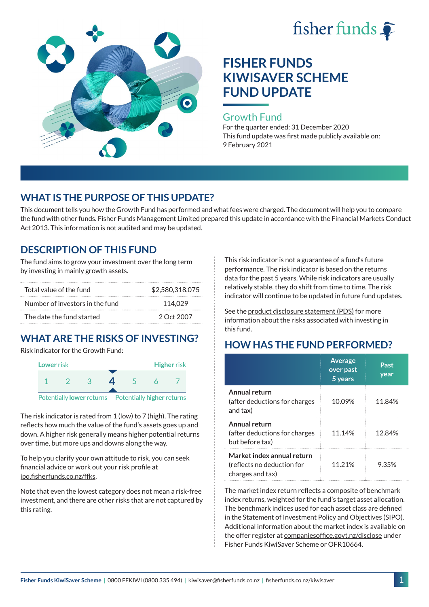



### Growth Fund

For the quarter ended: 31 December 2020 This fund update was first made publicly available on: 9 February 2021

## **WHAT IS THE PURPOSE OF THIS UPDATE?**

This document tells you how the Growth Fund has performed and what fees were charged. The document will help you to compare the fund with other funds. Fisher Funds Management Limited prepared this update in accordance with the Financial Markets Conduct Act 2013. This information is not audited and may be updated.

## **DESCRIPTION OF THIS FUND**

The fund aims to grow your investment over the long term by investing in mainly growth assets.

| Total value of the fund         | \$2,580,318,075 |  |  |
|---------------------------------|-----------------|--|--|
| Number of investors in the fund | 114.029         |  |  |
| The date the fund started       | 2 Oct 2007      |  |  |

# **WHAT ARE THE RISKS OF INVESTING?**

Risk indicator for the Growth Fund:



The risk indicator is rated from 1 (low) to 7 (high). The rating reflects how much the value of the fund's assets goes up and down. A higher risk generally means higher potential returns over time, but more ups and downs along the way.

To help you clarify your own attitude to risk, you can seek financial advice or work out your risk profile at [ipq.fisherfunds.co.nz/ffks](https://ipq.fisherfunds.co.nz/ffks).

Note that even the lowest category does not mean a risk-free investment, and there are other risks that are not captured by this rating.

This risk indicator is not a guarantee of a fund's future performance. The risk indicator is based on the returns data for the past 5 years. While risk indicators are usually relatively stable, they do shift from time to time. The risk indicator will continue to be updated in future fund updates.

See the [product disclosure statement \(PDS\)](https://fisherfunds.co.nz/assets/PDS/Fisher-Funds-KiwiSaver-Scheme-PDS.pdf) for more information about the risks associated with investing in this fund.

## **HOW HAS THE FUND PERFORMED?**

|                                                                              | <b>Average</b><br>over past<br>5 years | Past<br>year |
|------------------------------------------------------------------------------|----------------------------------------|--------------|
| Annual return<br>(after deductions for charges<br>and tax)                   | 10.09%                                 | 11.84%       |
| Annual return<br>(after deductions for charges<br>but before tax)            | 11.14%                                 | 12.84%       |
| Market index annual return<br>(reflects no deduction for<br>charges and tax) | 11.21%                                 | 9.35%        |

The market index return reflects a composite of benchmark index returns, weighted for the fund's target asset allocation. The benchmark indices used for each asset class are defined in the Statement of Investment Policy and Objectives (SIPO). Additional information about the market index is available on the offer register at [companiesoffice.govt.nz/disclose](http://companiesoffice.govt.nz/disclose) under Fisher Funds KiwiSaver Scheme or OFR10664.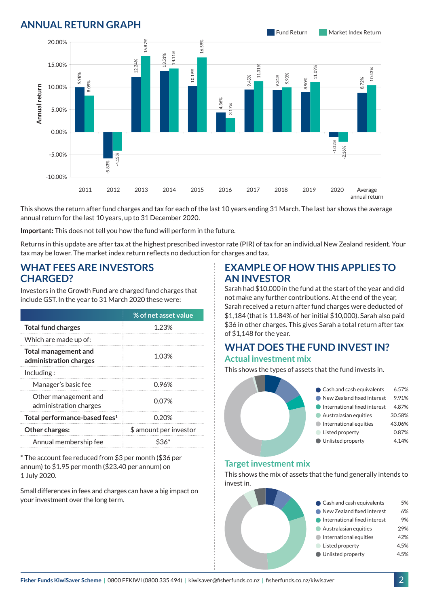## **ANNUAL RETURN GRAPH**



This shows the return after fund charges and tax for each of the last 10 years ending 31 March. The last bar shows the average annual return for the last 10 years, up to 31 December 2020.

**Important:** This does not tell you how the fund will perform in the future.

Returns in this update are after tax at the highest prescribed investor rate (PIR) of tax for an individual New Zealand resident. Your tax may be lower. The market index return reflects no deduction for charges and tax.

### **WHAT FEES ARE INVESTORS CHARGED?**

Investors in the Growth Fund are charged fund charges that include GST. In the year to 31 March 2020 these were:

|                                                       | % of net asset value   |  |
|-------------------------------------------------------|------------------------|--|
| <b>Total fund charges</b>                             | 1.23%                  |  |
| Which are made up of:                                 |                        |  |
| <b>Total management and</b><br>administration charges | 1.03%                  |  |
| Including:                                            |                        |  |
| Manager's basic fee                                   | 0.96%                  |  |
| Other management and<br>administration charges        | 0.07%                  |  |
| Total performance-based fees <sup>1</sup>             | 0.20%                  |  |
| Other charges:                                        | \$ amount per investor |  |
| Annual membership fee                                 |                        |  |

\* The account fee reduced from \$3 per month (\$36 per annum) to \$1.95 per month (\$23.40 per annum) on 1 July 2020.

Small differences in fees and charges can have a big impact on your investment over the long term.

### **EXAMPLE OF HOW THIS APPLIES TO AN INVESTOR**

Sarah had \$10,000 in the fund at the start of the year and did not make any further contributions. At the end of the year, Sarah received a return after fund charges were deducted of \$1,184 (that is 11.84% of her initial \$10,000). Sarah also paid \$36 in other charges. This gives Sarah a total return after tax of \$1,148 for the year.

#### **WHAT DOES THE FUND INVEST IN? Actual investment mix**

This shows the types of assets that the fund invests in.



#### **Target investment mix**

This shows the mix of assets that the fund generally intends to invest in.